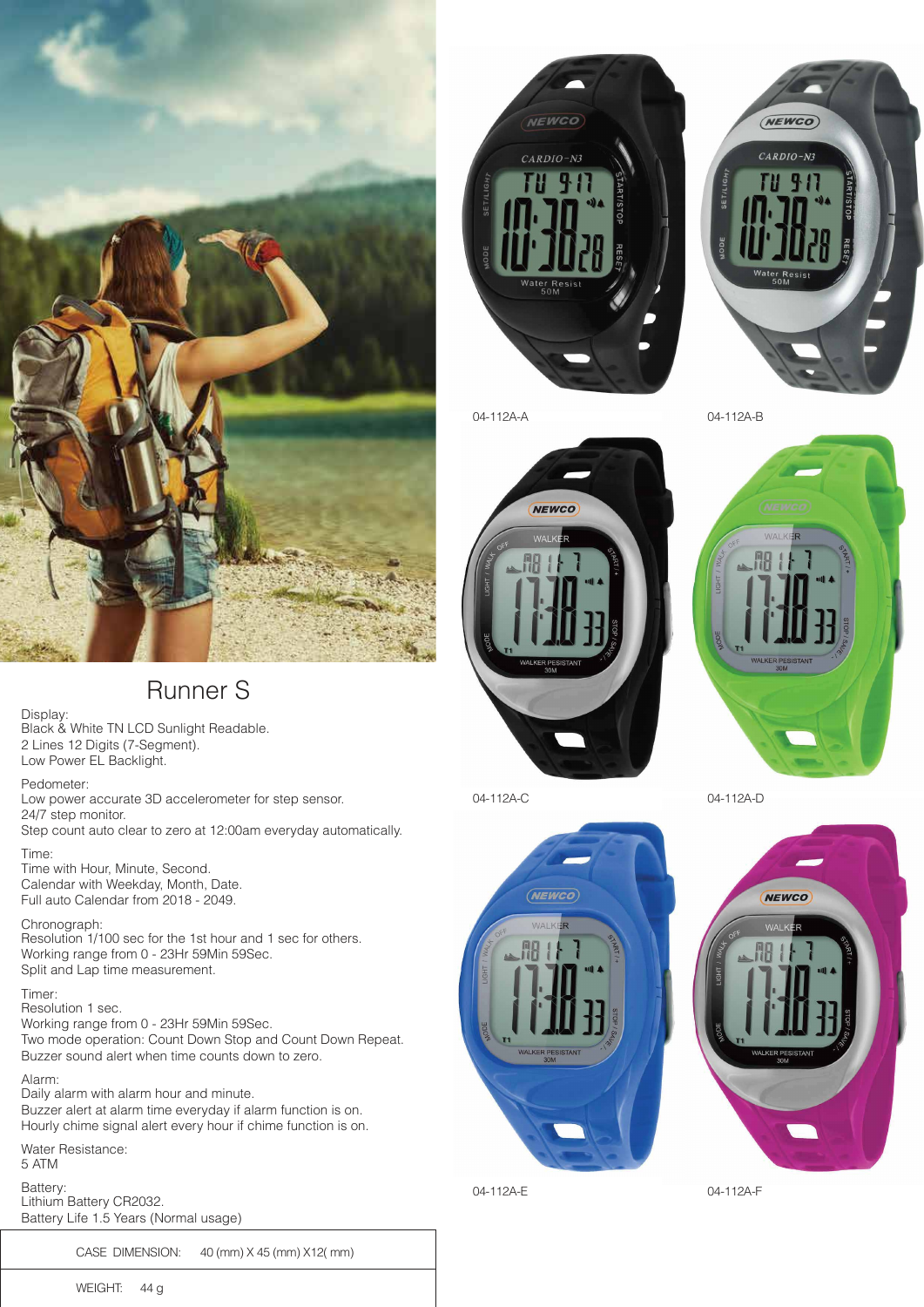



NEWCO  $\overline{\mathbf{M}}$ 

(NEWCO)  $CARDIO-N3$ 

04-112A-A 04-112A-B





04-112A-C 04-112A-D



04-112A-E 04-112A-F

# Runner S

Display: Black & White TN LCD Sunlight Readable. 2 Lines 12 Digits (7-Segment). Low Power EL Backlight.

Pedometer: Low power accurate 3D accelerometer for step sensor.

24/7 step monitor. Step count auto clear to zero at 12:00am everyday automatically.

Time: Time with Hour, Minute, Second. Calendar with Weekday, Month, Date. Full auto Calendar from 2018 - 2049.

Chronograph: Resolution 1/100 sec for the 1st hour and 1 sec for others.

Working range from 0 - 23Hr 59Min 59Sec. Split and Lap time measurement.

#### Timer:

Resolution 1 sec. Working range from 0 - 23Hr 59Min 59Sec. Two mode operation: Count Down Stop and Count Down Repeat. Buzzer sound alert when time counts down to zero.

Alarm: Daily alarm with alarm hour and minute. Buzzer alert at alarm time everyday if alarm function is on. Hourly chime signal alert every hour if chime function is on.

Water Resistance: 5 ATM

Battery: Lithium Battery CR2032. Battery Life 1.5 Years (Normal usage)

CASE DIMENSION: 40 (mm) X 45 (mm) X12( mm)

WEIGHT: 44 g